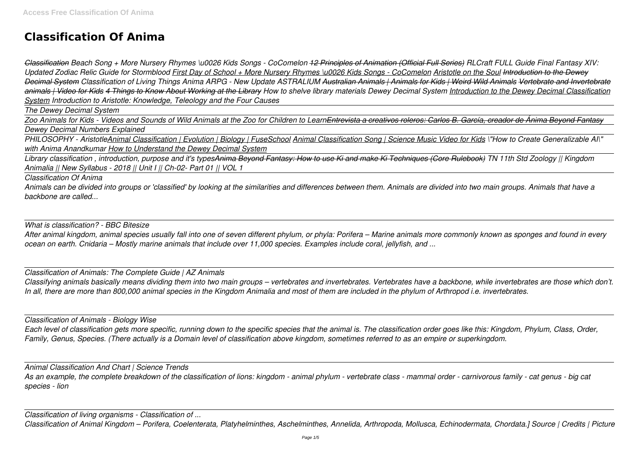# **Classification Of Anima**

*Classification Beach Song + More Nursery Rhymes \u0026 Kids Songs - CoComelon 12 Principles of Animation (Official Full Series) RLCraft FULL Guide Final Fantasy XIV: Updated Zodiac Relic Guide for Stormblood First Day of School + More Nursery Rhymes \u0026 Kids Songs - CoComelon Aristotle on the Soul Introduction to the Dewey Decimal System Classification of Living Things Anima ARPG - New Update ASTRALIUM Australian Animals | Animals for Kids | Weird Wild Animals Vertebrate and Invertebrate animals | Video for Kids 4 Things to Know About Working at the Library How to shelve library materials Dewey Decimal System Introduction to the Dewey Decimal Classification System Introduction to Aristotle: Knowledge, Teleology and the Four Causes*

*The Dewey Decimal System*

*Zoo Animals for Kids - Videos and Sounds of Wild Animals at the Zoo for Children to LearnEntrevista a creativos roleros: Carlos B. García, creador de Ánima Beyond Fantasy Dewey Decimal Numbers Explained*

*PHILOSOPHY - AristotleAnimal Classification | Evolution | Biology | FuseSchool Animal Classification Song | Science Music Video for Kids \"How to Create Generalizable AI\" with Anima Anandkumar How to Understand the Dewey Decimal System*

*Library classification , introduction, purpose and it's typesAnima Beyond Fantasy: How to use Ki and make Ki Techniques (Core Rulebook) TN 11th Std Zoology || Kingdom Animalia || New Syllabus - 2018 || Unit I || Ch-02- Part 01 || VOL 1*

*Classification Of Anima*

*Animals can be divided into groups or 'classified' by looking at the similarities and differences between them. Animals are divided into two main groups. Animals that have a backbone are called...*

*What is classification? - BBC Bitesize*

*After animal kingdom, animal species usually fall into one of seven different phylum, or phyla: Porifera – Marine animals more commonly known as sponges and found in every ocean on earth. Cnidaria – Mostly marine animals that include over 11,000 species. Examples include coral, jellyfish, and ...*

*Classification of Animals: The Complete Guide | AZ Animals*

*Classifying animals basically means dividing them into two main groups – vertebrates and invertebrates. Vertebrates have a backbone, while invertebrates are those which don't. In all, there are more than 800,000 animal species in the Kingdom Animalia and most of them are included in the phylum of Arthropod i.e. invertebrates.*

*Classification of Animals - Biology Wise*

*Each level of classification gets more specific, running down to the specific species that the animal is. The classification order goes like this: Kingdom, Phylum, Class, Order, Family, Genus, Species. (There actually is a Domain level of classification above kingdom, sometimes referred to as an empire or superkingdom.*

*Animal Classification And Chart | Science Trends As an example, the complete breakdown of the classification of lions: kingdom - animal phylum - vertebrate class - mammal order - carnivorous family - cat genus - big cat species - lion*

*Classification of living organisms - Classification of ...*

*Classification of Animal Kingdom – Porifera, Coelenterata, Platyhelminthes, Aschelminthes, Annelida, Arthropoda, Mollusca, Echinodermata, Chordata.] Source | Credits | Picture*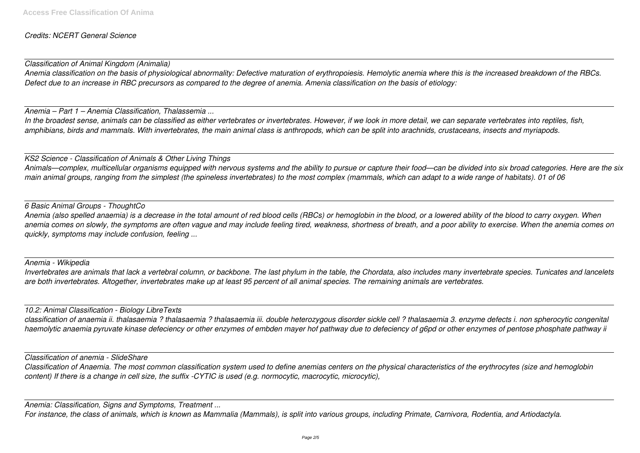# *Credits: NCERT General Science*

*Classification of Animal Kingdom (Animalia)*

*Anemia classification on the basis of physiological abnormality: Defective maturation of erythropoiesis. Hemolytic anemia where this is the increased breakdown of the RBCs. Defect due to an increase in RBC precursors as compared to the degree of anemia. Amenia classification on the basis of etiology:*

*Anemia – Part 1 – Anemia Classification, Thalassemia ...*

*In the broadest sense, animals can be classified as either vertebrates or invertebrates. However, if we look in more detail, we can separate vertebrates into reptiles, fish, amphibians, birds and mammals. With invertebrates, the main animal class is anthropods, which can be split into arachnids, crustaceans, insects and myriapods.*

*KS2 Science - Classification of Animals & Other Living Things Animals—complex, multicellular organisms equipped with nervous systems and the ability to pursue or capture their food—can be divided into six broad categories. Here are the six main animal groups, ranging from the simplest (the spineless invertebrates) to the most complex (mammals, which can adapt to a wide range of habitats). 01 of 06*

*6 Basic Animal Groups - ThoughtCo Anemia (also spelled anaemia) is a decrease in the total amount of red blood cells (RBCs) or hemoglobin in the blood, or a lowered ability of the blood to carry oxygen. When anemia comes on slowly, the symptoms are often vague and may include feeling tired, weakness, shortness of breath, and a poor ability to exercise. When the anemia comes on quickly, symptoms may include confusion, feeling ...*

*Anemia - Wikipedia*

*Invertebrates are animals that lack a vertebral column, or backbone. The last phylum in the table, the Chordata, also includes many invertebrate species. Tunicates and lancelets are both invertebrates. Altogether, invertebrates make up at least 95 percent of all animal species. The remaining animals are vertebrates.*

*10.2: Animal Classification - Biology LibreTexts*

*classification of anaemia ii. thalasaemia ? thalasaemia ? thalasaemia iii. double heterozygous disorder sickle cell ? thalasaemia 3. enzyme defects i. non spherocytic congenital haemolytic anaemia pyruvate kinase defeciency or other enzymes of embden mayer hof pathway due to defeciency of g6pd or other enzymes of pentose phosphate pathway ii*

*Classification of anemia - SlideShare*

*Classification of Anaemia. The most common classification system used to define anemias centers on the physical characteristics of the erythrocytes (size and hemoglobin content) If there is a change in cell size, the suffix -CYTIC is used (e.g. normocytic, macrocytic, microcytic),*

*Anemia: Classification, Signs and Symptoms, Treatment ...*

*For instance, the class of animals, which is known as Mammalia (Mammals), is split into various groups, including Primate, Carnivora, Rodentia, and Artiodactyla.*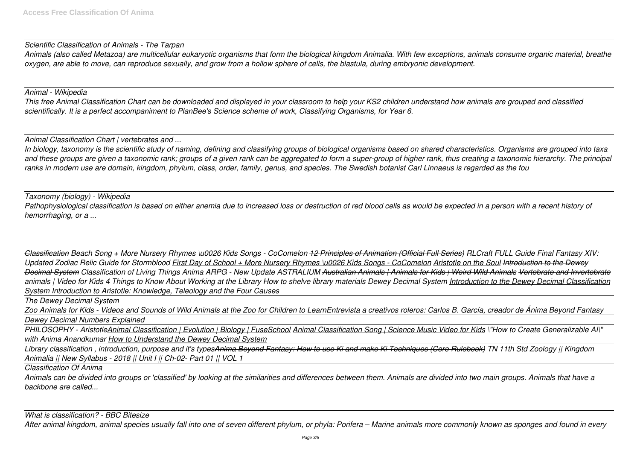# *Scientific Classification of Animals - The Tarpan*

*Animals (also called Metazoa) are multicellular eukaryotic organisms that form the biological kingdom Animalia. With few exceptions, animals consume organic material, breathe oxygen, are able to move, can reproduce sexually, and grow from a hollow sphere of cells, the blastula, during embryonic development.*

#### *Animal - Wikipedia*

*This free Animal Classification Chart can be downloaded and displayed in your classroom to help your KS2 children understand how animals are grouped and classified scientifically. It is a perfect accompaniment to PlanBee's Science scheme of work, Classifying Organisms, for Year 6.*

*Animal Classification Chart | vertebrates and ...*

*In biology, taxonomy is the scientific study of naming, defining and classifying groups of biological organisms based on shared characteristics. Organisms are grouped into taxa and these groups are given a taxonomic rank; groups of a given rank can be aggregated to form a super-group of higher rank, thus creating a taxonomic hierarchy. The principal ranks in modern use are domain, kingdom, phylum, class, order, family, genus, and species. The Swedish botanist Carl Linnaeus is regarded as the fou*

*Taxonomy (biology) - Wikipedia Pathophysiological classification is based on either anemia due to increased loss or destruction of red blood cells as would be expected in a person with a recent history of hemorrhaging, or a ...*

*Classification Beach Song + More Nursery Rhymes \u0026 Kids Songs - CoComelon 12 Principles of Animation (Official Full Series) RLCraft FULL Guide Final Fantasy XIV:* Updated Zodiac Relic Guide for Stormblood *First Day of School + More Nursery Rhymes \u0026 Kids Songs - CoComelon Aristotle on the Soul <i>Introduction to the Dewey Decimal System Classification of Living Things Anima ARPG - New Update ASTRALIUM Australian Animals | Animals for Kids | Weird Wild Animals Vertebrate and Invertebrate animals | Video for Kids 4 Things to Know About Working at the Library How to shelve library materials Dewey Decimal System Introduction to the Dewey Decimal Classification System Introduction to Aristotle: Knowledge, Teleology and the Four Causes*

*The Dewey Decimal System*

*Zoo Animals for Kids - Videos and Sounds of Wild Animals at the Zoo for Children to LearnEntrevista a creativos roleros: Carlos B. García, creador de Ánima Beyond Fantasy Dewey Decimal Numbers Explained*

*PHILOSOPHY - AristotleAnimal Classification | Evolution | Biology | FuseSchool Animal Classification Song | Science Music Video for Kids \"How to Create Generalizable AI\" with Anima Anandkumar How to Understand the Dewey Decimal System*

*Library classification , introduction, purpose and it's typesAnima Beyond Fantasy: How to use Ki and make Ki Techniques (Core Rulebook) TN 11th Std Zoology || Kingdom Animalia || New Syllabus - 2018 || Unit I || Ch-02- Part 01 || VOL 1*

*Classification Of Anima*

*Animals can be divided into groups or 'classified' by looking at the similarities and differences between them. Animals are divided into two main groups. Animals that have a backbone are called...*

*What is classification? - BBC Bitesize After animal kingdom, animal species usually fall into one of seven different phylum, or phyla: Porifera – Marine animals more commonly known as sponges and found in every*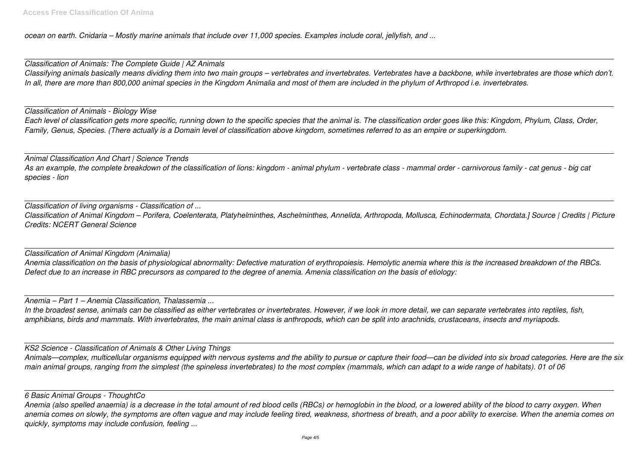*ocean on earth. Cnidaria – Mostly marine animals that include over 11,000 species. Examples include coral, jellyfish, and ...*

*Classification of Animals: The Complete Guide | AZ Animals Classifying animals basically means dividing them into two main groups – vertebrates and invertebrates. Vertebrates have a backbone, while invertebrates are those which don't. In all, there are more than 800,000 animal species in the Kingdom Animalia and most of them are included in the phylum of Arthropod i.e. invertebrates.*

*Classification of Animals - Biology Wise Each level of classification gets more specific, running down to the specific species that the animal is. The classification order goes like this: Kingdom, Phylum, Class, Order, Family, Genus, Species. (There actually is a Domain level of classification above kingdom, sometimes referred to as an empire or superkingdom.*

*Animal Classification And Chart | Science Trends As an example, the complete breakdown of the classification of lions: kingdom - animal phylum - vertebrate class - mammal order - carnivorous family - cat genus - big cat species - lion*

*Classification of living organisms - Classification of ... Classification of Animal Kingdom – Porifera, Coelenterata, Platyhelminthes, Aschelminthes, Annelida, Arthropoda, Mollusca, Echinodermata, Chordata.] Source | Credits | Picture Credits: NCERT General Science*

*Classification of Animal Kingdom (Animalia) Anemia classification on the basis of physiological abnormality: Defective maturation of erythropoiesis. Hemolytic anemia where this is the increased breakdown of the RBCs. Defect due to an increase in RBC precursors as compared to the degree of anemia. Amenia classification on the basis of etiology:*

*Anemia – Part 1 – Anemia Classification, Thalassemia ...*

*In the broadest sense, animals can be classified as either vertebrates or invertebrates. However, if we look in more detail, we can separate vertebrates into reptiles, fish, amphibians, birds and mammals. With invertebrates, the main animal class is anthropods, which can be split into arachnids, crustaceans, insects and myriapods.*

*KS2 Science - Classification of Animals & Other Living Things*

*Animals—complex, multicellular organisms equipped with nervous systems and the ability to pursue or capture their food—can be divided into six broad categories. Here are the six main animal groups, ranging from the simplest (the spineless invertebrates) to the most complex (mammals, which can adapt to a wide range of habitats). 01 of 06*

*6 Basic Animal Groups - ThoughtCo*

*Anemia (also spelled anaemia) is a decrease in the total amount of red blood cells (RBCs) or hemoglobin in the blood, or a lowered ability of the blood to carry oxygen. When anemia comes on slowly, the symptoms are often vague and may include feeling tired, weakness, shortness of breath, and a poor ability to exercise. When the anemia comes on quickly, symptoms may include confusion, feeling ...*